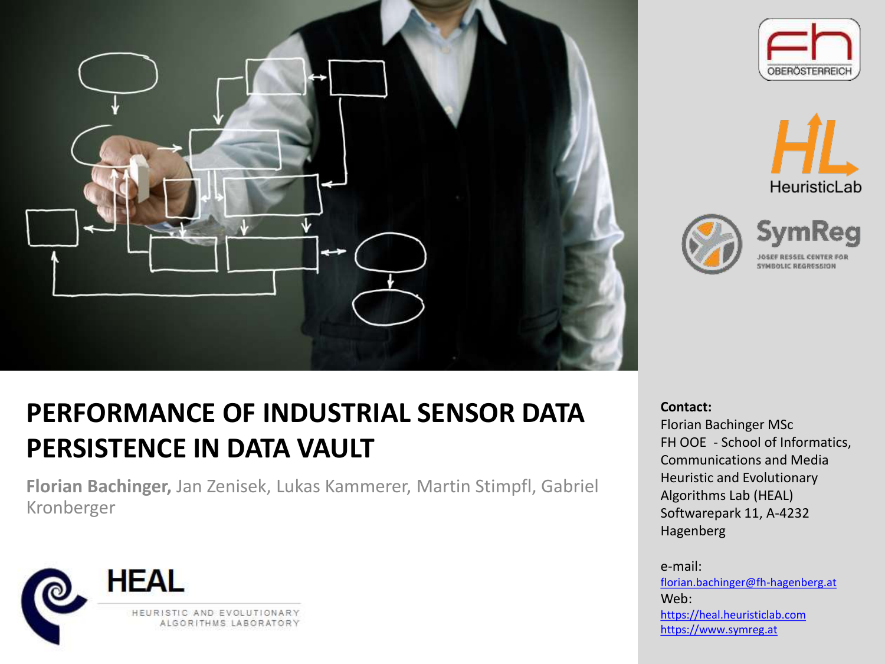









## **PERFORMANCE OF INDUSTRIAL SENSOR DATA PERSISTENCE IN DATA VAULT**

**Florian Bachinger,** Jan Zenisek, Lukas Kammerer, Martin Stimpfl, Gabriel Kronberger



#### **Contact:**

Florian Bachinger MSc FH OOE - School of Informatics, Communications and Media Heuristic and Evolutionary Algorithms Lab (HEAL) Softwarepark 11, A-4232 Hagenberg

e-mail:

[florian.bachinger@fh-hagenberg.at](mailto:florian.bachinger@fh-hagenberg.at) Web: [https://heal.heuristiclab.com](https://heal.heuristiclab.com/) [https://www.symreg.at](https://www.symreg.at/)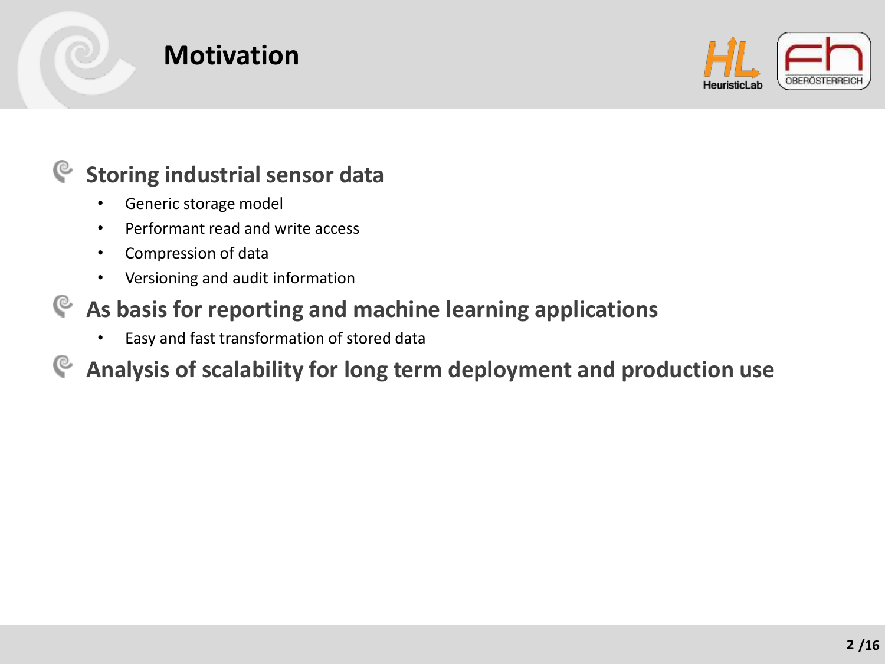

## **Motivation**



#### **Storing industrial sensor data** G

- Generic storage model
- Performant read and write access
- Compression of data
- Versioning and audit information

### **As basis for reporting and machine learning applications**

• Easy and fast transformation of stored data

#### **Analysis of scalability for long term deployment and production use**G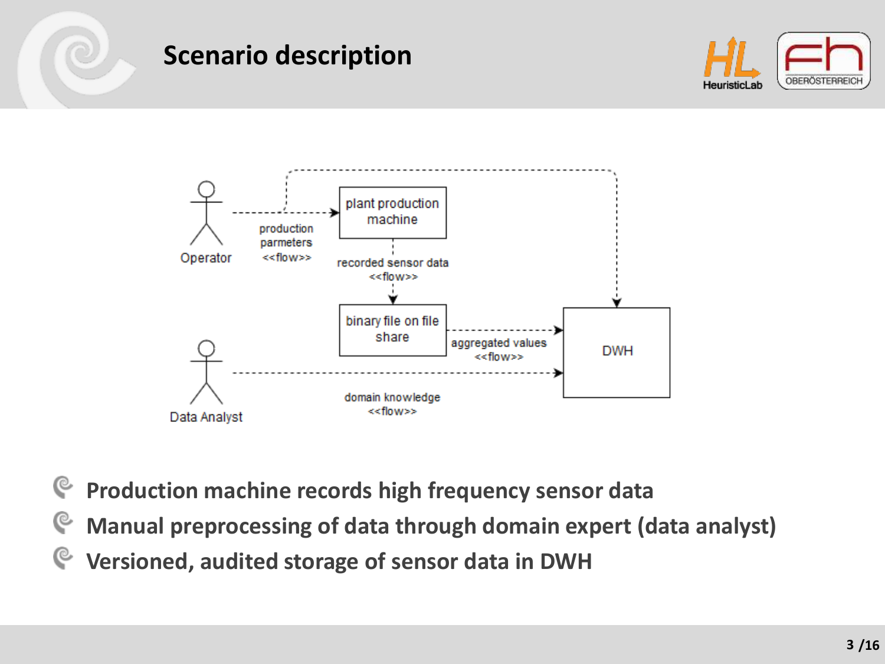### **Scenario description**





- **Production machine records high frequency sensor data**
- **Manual preprocessing of data through domain expert (data analyst)**
- **Versioned, audited storage of sensor data in DWH**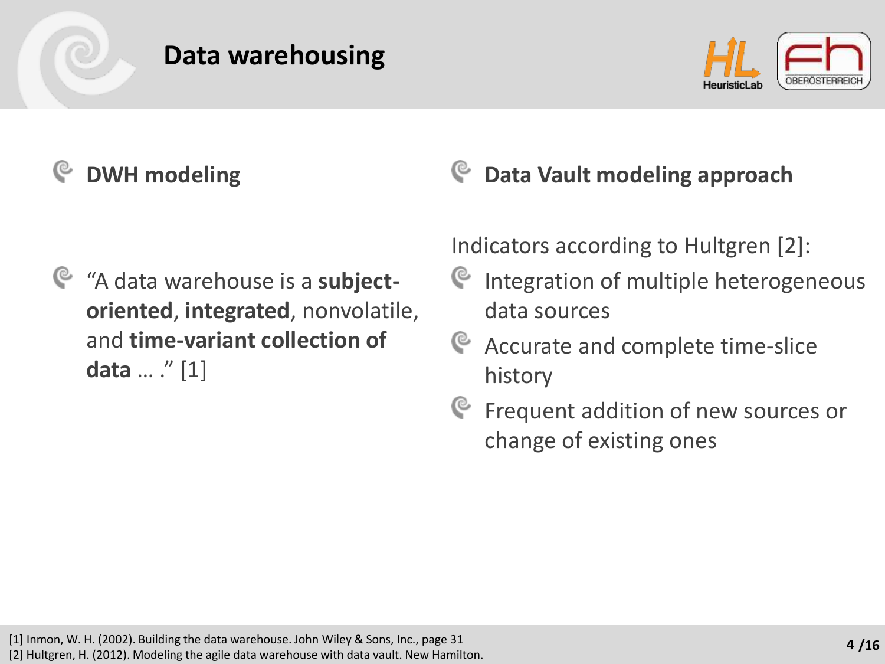## **Data warehousing**



# **DWH modeling**

"A data warehouse is a **subjectoriented**, **integrated**, nonvolatile, and **time-variant collection of data** … ." [1]

## **Data Vault modeling approach**

Indicators according to Hultgren [2]:

- C Integration of multiple heterogeneous data sources
- G Accurate and complete time-slice history
- **E** Frequent addition of new sources or change of existing ones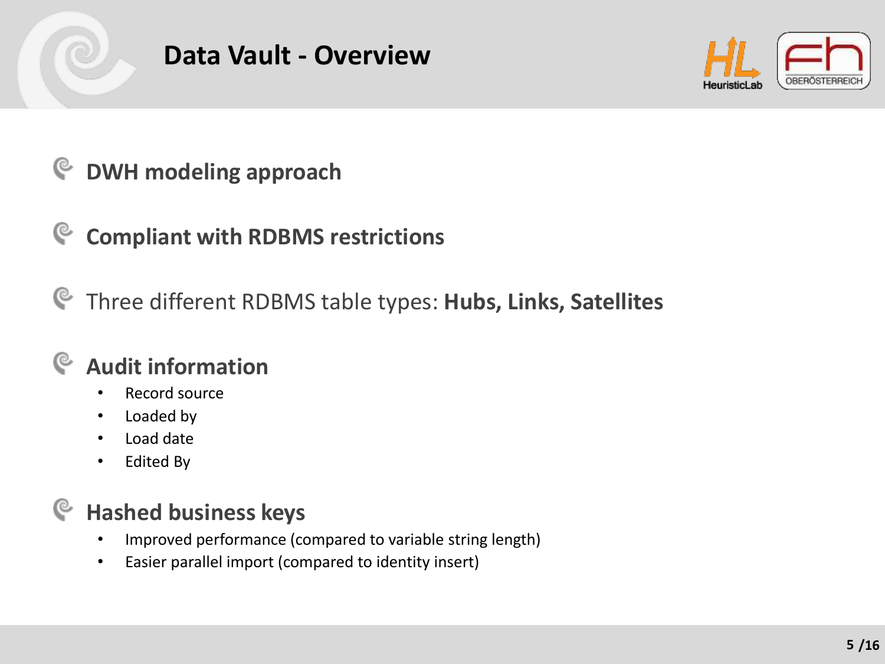

### **Data Vault - Overview**



#### **DWH modeling approach** G

#### **Compliant with RDBMS restrictions** G

Three different RDBMS table types: **Hubs, Links, Satellites**

#### **Audit information** C

- Record source
- Loaded by
- Load date
- Edited By

#### **Hashed business keys** G

- Improved performance (compared to variable string length)
- Easier parallel import (compared to identity insert)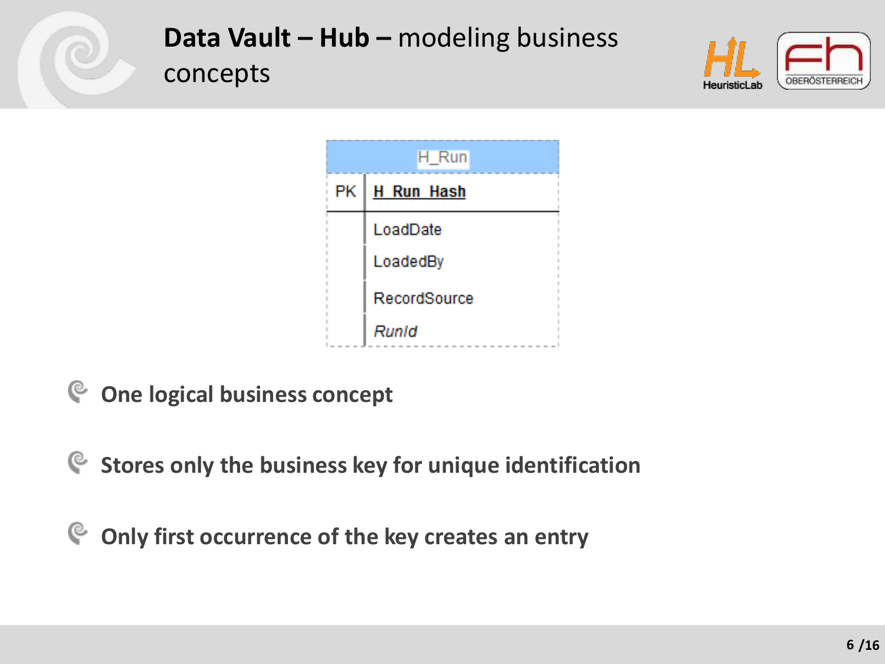

**Data Vault – Hub –** modeling business concepts





**One logical business concept**

**Stores only the business key for unique identification**

 $\mathbf{e}$ **Only first occurrence of the key creates an entry**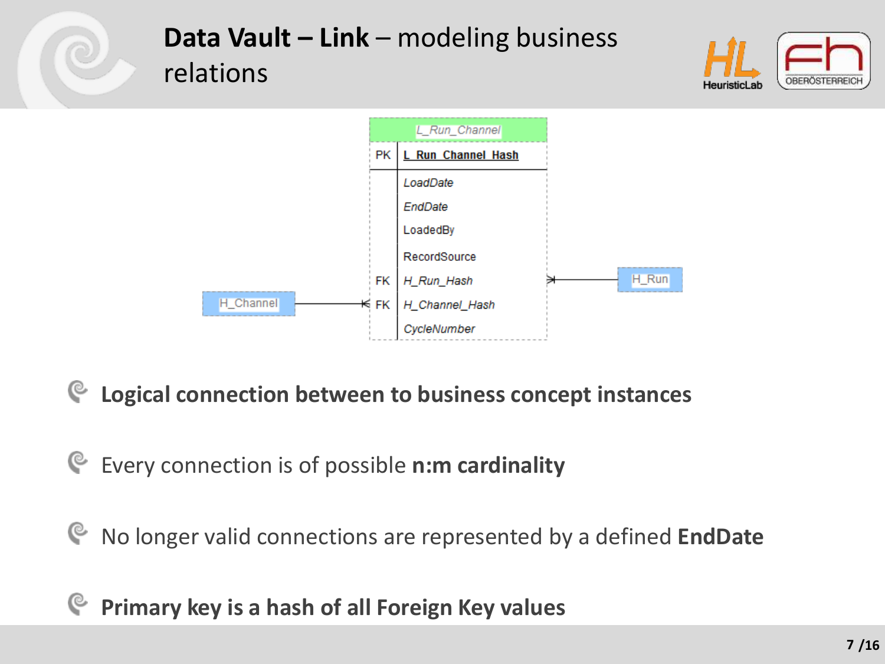

**Logical connection between to business concept instances** G

Every connection is of possible **n:m cardinality**

G No longer valid connections are represented by a defined **EndDate**

**Primary key is a hash of all Foreign Key values**্ত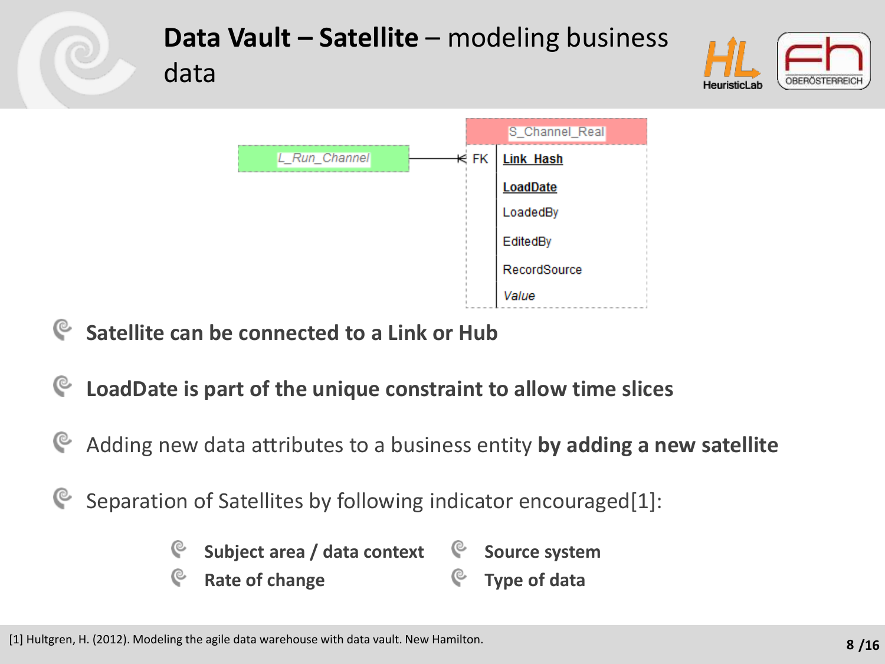

- **Satellite can be connected to a Link or Hub**
- G **LoadDate is part of the unique constraint to allow time slices**
- Adding new data attributes to a business entity **by adding a new satellite**
- Separation of Satellites by following indicator encouraged[1]:
	- C **Subject area / data context Source system**
	- C C **Type of dataRate of change**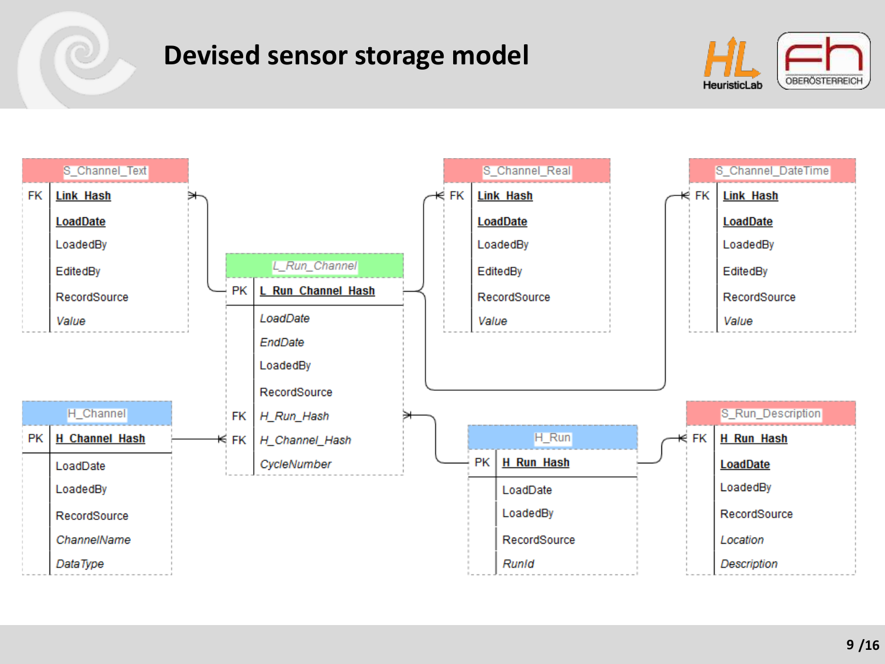### **Devised sensor storage model**



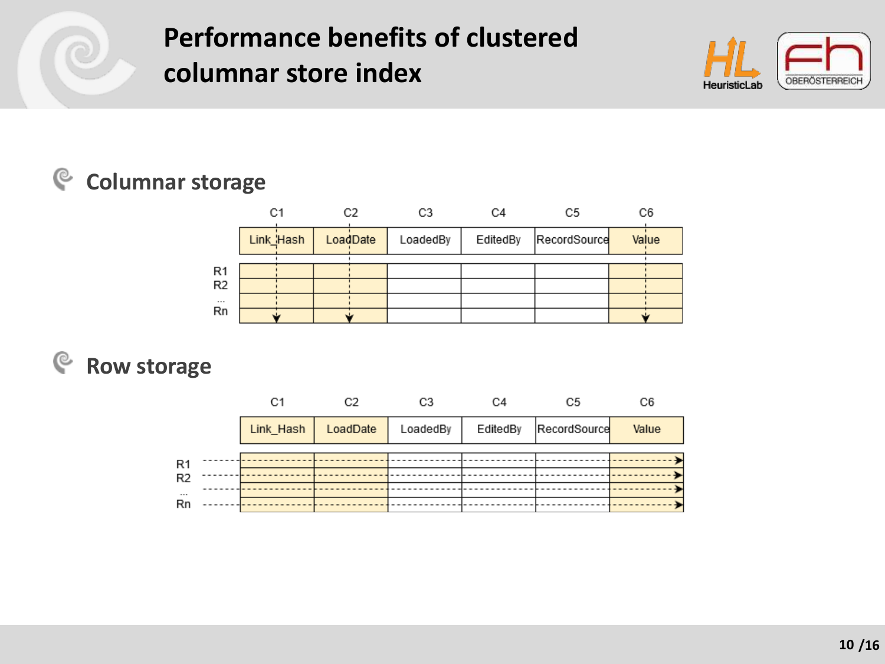

## **Performance benefits of clustered columnar store index**



### **Columnar storage**

| C6    |
|-------|
| Value |
|       |
|       |
|       |
|       |
|       |
|       |

#### **Row storage**Ç

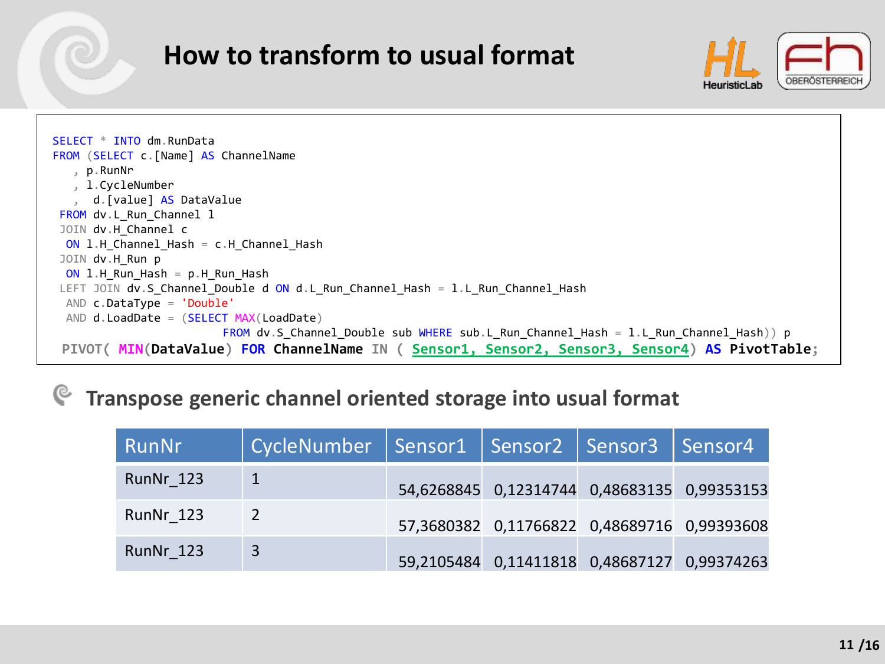### **How to transform to usual format**





#### **Transpose generic channel oriented storage into usual format**

| RunNr     | CycleNumber   Sensor1   Sensor2   Sensor3   Sensor4 |                                                |  |
|-----------|-----------------------------------------------------|------------------------------------------------|--|
| RunNr 123 |                                                     | 54,6268845 0,12314744 0,48683135 0,99353153    |  |
| RunNr 123 | $\overline{2}$                                      | 57,3680382 0,11766822 0,48689716 0,99393608    |  |
| RunNr 123 | $\overline{3}$                                      | 59,2105484  0,11411818  0,48687127  0,99374263 |  |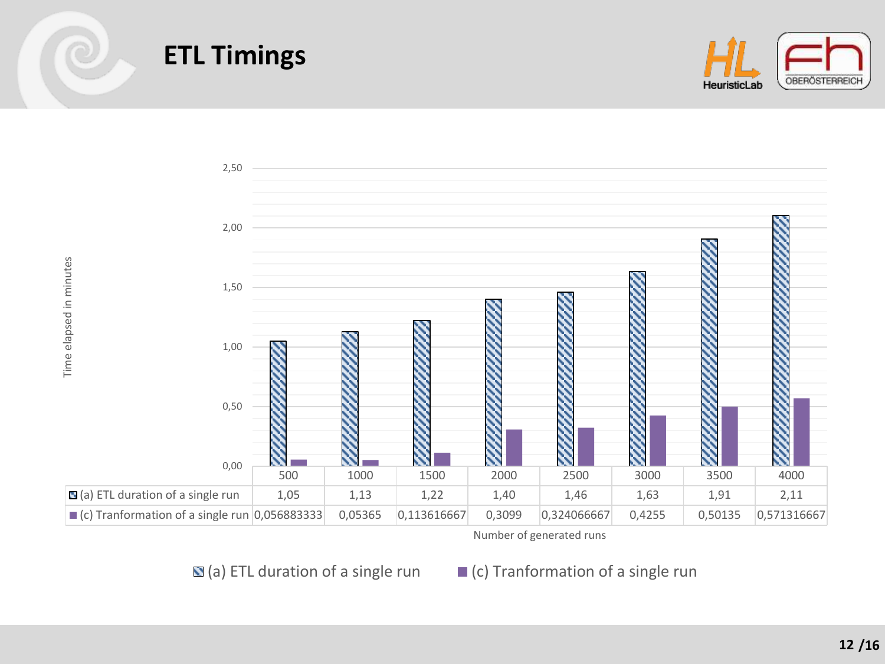

## **ETL Timings**



Number of generated runs

 $\blacksquare$  (a) ETL duration of a single run  $\blacksquare$  (c) Tranformation of a single run

**/16 12**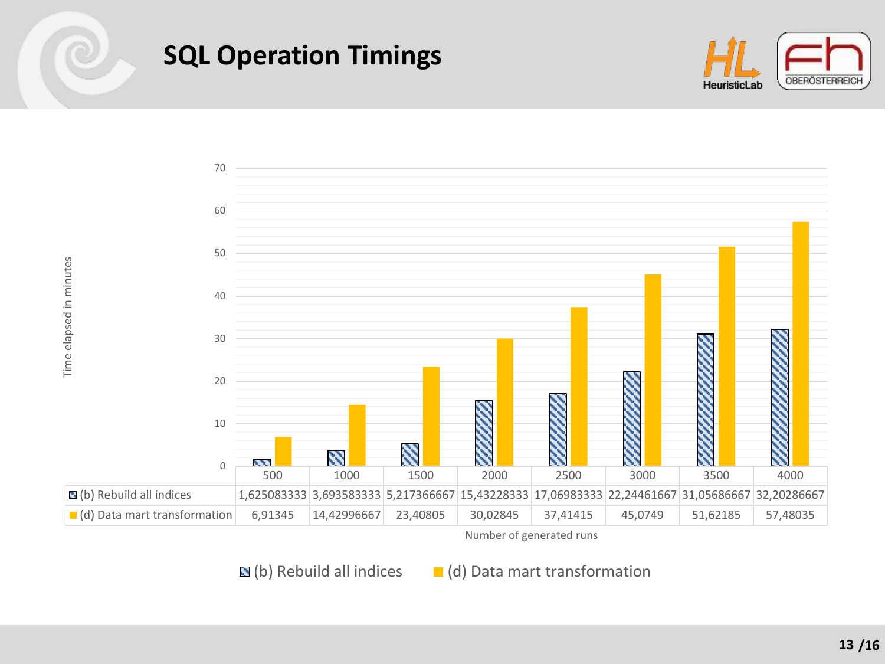## **SQL Operation Timings**





Number of generated runs

 $\mathbf{N}(b)$  Rebuild all indices  $\blacksquare$  (d) Data mart transformation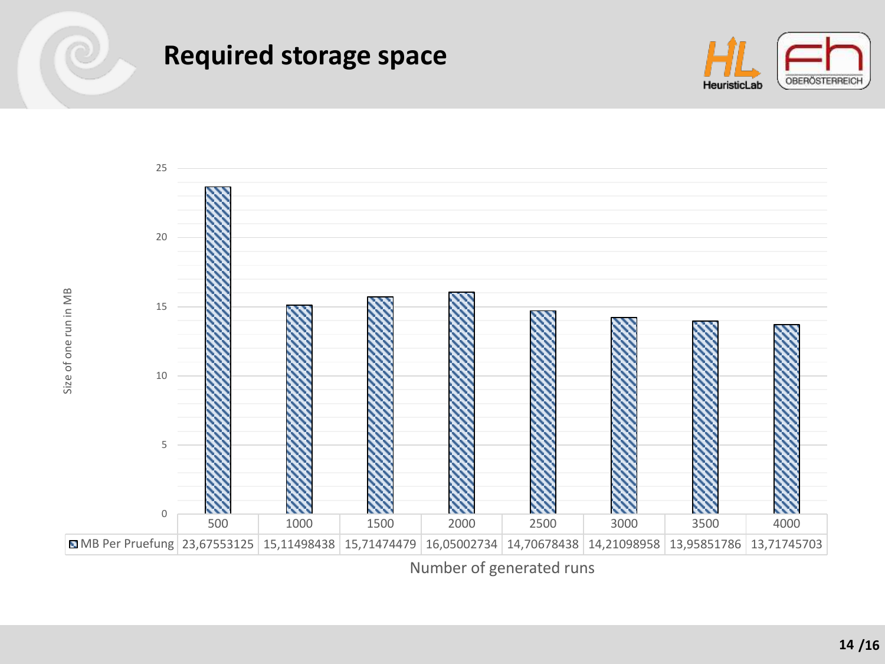

Size of one run in MB

Size of one run in MB

### **Required storage space**





Number of generated runs

**/16**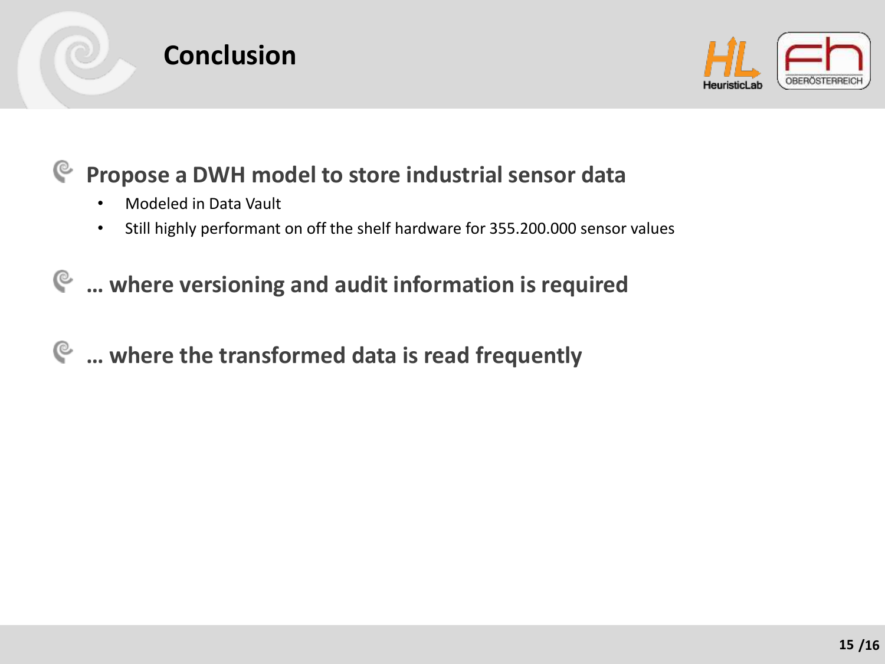



#### $\mathbb{C}$ **Propose a DWH model to store industrial sensor data**

- Modeled in Data Vault
- Still highly performant on off the shelf hardware for 355.200.000 sensor values

### **… where versioning and audit information is required**

#### **… where the transformed data is read frequently**G